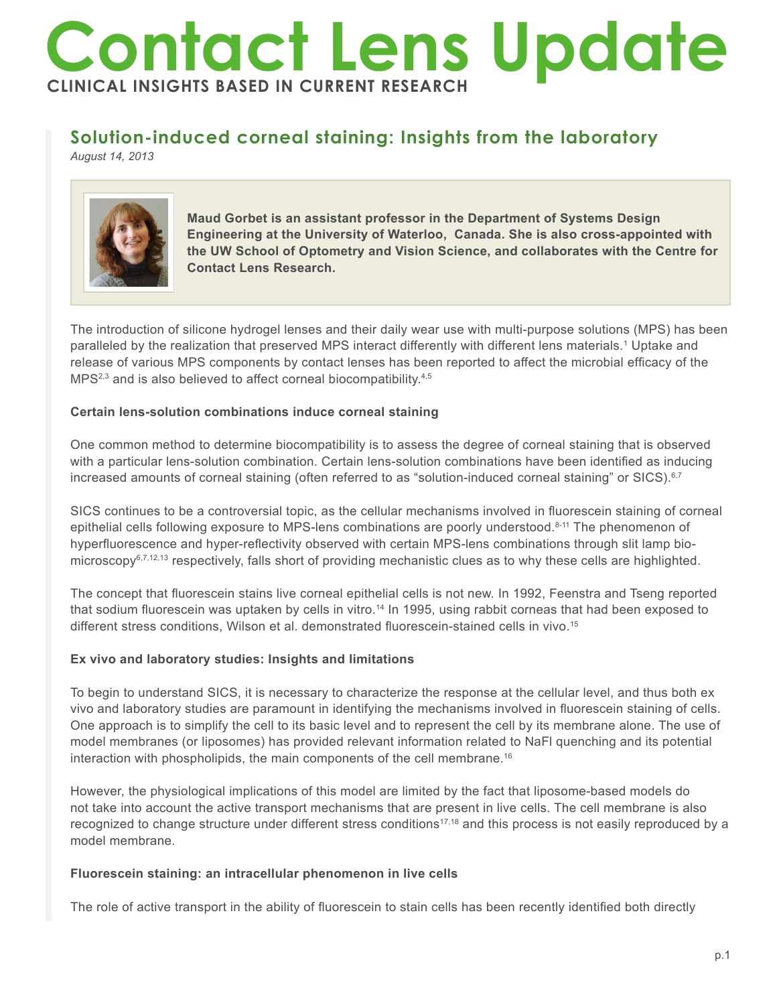# **Contact Lens Update CLINICAL INSIGHTS BASED IN CURRENT RESEARCH**

## **Solution-induced corneal staining: Insights from the laboratory**

*August 14, 2013*



**Maud Gorbet is an assistant professor in the Department of Systems Design Engineering at the University of Waterloo, Canada. She is also cross-appointed with the UW School of Optometry and Vision Science, and collaborates with the Centre for Contact Lens Research.**

The introduction of silicone hydrogel lenses and their daily wear use with multi-purpose solutions (MPS) has been paralleled by the realization that preserved MPS interact differently with different lens materials.1 Uptake and release of various MPS components by contact lenses has been reported to affect the microbial efficacy of the MPS<sup>2,3</sup> and is also believed to affect corneal biocompatibility.<sup>4,5</sup>

### **Certain lens-solution combinations induce corneal staining**

One common method to determine biocompatibility is to assess the degree of corneal staining that is observed with a particular lens-solution combination. Certain lens-solution combinations have been identified as inducing increased amounts of corneal staining (often referred to as "solution-induced corneal staining" or SICS).<sup>6,7</sup>

SICS continues to be a controversial topic, as the cellular mechanisms involved in fluorescein staining of corneal epithelial cells following exposure to MPS-lens combinations are poorly understood.<sup>8-11</sup> The phenomenon of hyperfluorescence and hyper-reflectivity observed with certain MPS-lens combinations through slit lamp biomicroscopy $6^{7,12,13}$  respectively, falls short of providing mechanistic clues as to why these cells are highlighted.

The concept that fluorescein stains live corneal epithelial cells is not new. In 1992, Feenstra and Tseng reported that sodium fluorescein was uptaken by cells in vitro.<sup>14</sup> In 1995, using rabbit corneas that had been exposed to different stress conditions, Wilson et al. demonstrated fluorescein-stained cells in vivo.<sup>15</sup>

### **Ex vivo and laboratory studies: Insights and limitations**

To begin to understand SICS, it is necessary to characterize the response at the cellular level, and thus both ex vivo and laboratory studies are paramount in identifying the mechanisms involved in fluorescein staining of cells. One approach is to simplify the cell to its basic level and to represent the cell by its membrane alone. The use of model membranes (or liposomes) has provided relevant information related to NaFl quenching and its potential interaction with phospholipids, the main components of the cell membrane.16

However, the physiological implications of this model are limited by the fact that liposome-based models do not take into account the active transport mechanisms that are present in live cells. The cell membrane is also recognized to change structure under different stress conditions<sup>17,18</sup> and this process is not easily reproduced by a model membrane.

#### **Fluorescein staining: an intracellular phenomenon in live cells**

The role of active transport in the ability of fluorescein to stain cells has been recently identified both directly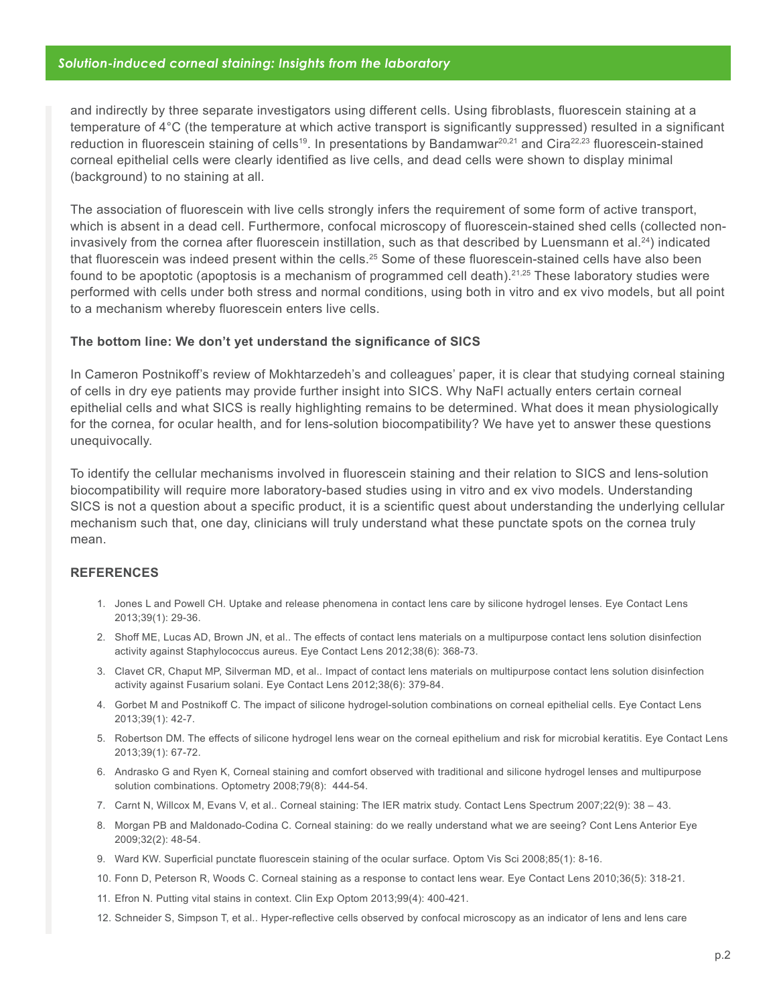#### *Solution-induced corneal staining: Insights from the laboratory*

and indirectly by three separate investigators using different cells. Using fibroblasts, fluorescein staining at a temperature of 4°C (the temperature at which active transport is significantly suppressed) resulted in a significant reduction in fluorescein staining of cells<sup>19</sup>. In presentations by Bandamwar<sup>20,21</sup> and Cira<sup>22,23</sup> fluorescein-stained corneal epithelial cells were clearly identified as live cells, and dead cells were shown to display minimal (background) to no staining at all.

The association of fluorescein with live cells strongly infers the requirement of some form of active transport, which is absent in a dead cell. Furthermore, confocal microscopy of fluorescein-stained shed cells (collected noninvasively from the cornea after fluorescein instillation, such as that described by Luensmann et al.<sup>24</sup>) indicated that fluorescein was indeed present within the cells.<sup>25</sup> Some of these fluorescein-stained cells have also been found to be apoptotic (apoptosis is a mechanism of programmed cell death).21,25 These laboratory studies were performed with cells under both stress and normal conditions, using both in vitro and ex vivo models, but all point to a mechanism whereby fluorescein enters live cells.

#### **The bottom line: We don't yet understand the significance of SICS**

In Cameron Postnikoff's review of Mokhtarzedeh's and colleagues' paper, it is clear that studying corneal staining of cells in dry eye patients may provide further insight into SICS. Why NaFl actually enters certain corneal epithelial cells and what SICS is really highlighting remains to be determined. What does it mean physiologically for the cornea, for ocular health, and for lens-solution biocompatibility? We have yet to answer these questions unequivocally.

To identify the cellular mechanisms involved in fluorescein staining and their relation to SICS and lens-solution biocompatibility will require more laboratory-based studies using in vitro and ex vivo models. Understanding SICS is not a question about a specific product, it is a scientific quest about understanding the underlying cellular mechanism such that, one day, clinicians will truly understand what these punctate spots on the cornea truly mean.

#### **REFERENCES**

- 1. Jones L and Powell CH. Uptake and release phenomena in contact lens care by silicone hydrogel lenses. Eye Contact Lens 2013;39(1): 29-36.
- 2. Shoff ME, Lucas AD, Brown JN, et al.. The effects of contact lens materials on a multipurpose contact lens solution disinfection activity against Staphylococcus aureus. Eye Contact Lens 2012;38(6): 368-73.
- 3. Clavet CR, Chaput MP, Silverman MD, et al.. Impact of contact lens materials on multipurpose contact lens solution disinfection activity against Fusarium solani. Eye Contact Lens 2012;38(6): 379-84.
- 4. Gorbet M and Postnikoff C. The impact of silicone hydrogel-solution combinations on corneal epithelial cells. Eye Contact Lens 2013;39(1): 42-7.
- 5. Robertson DM. The effects of silicone hydrogel lens wear on the corneal epithelium and risk for microbial keratitis. Eye Contact Lens 2013;39(1): 67-72.
- 6. Andrasko G and Ryen K, Corneal staining and comfort observed with traditional and silicone hydrogel lenses and multipurpose solution combinations. Optometry 2008;79(8): 444-54.
- 7. Carnt N, Willcox M, Evans V, et al.. Corneal staining: The IER matrix study. Contact Lens Spectrum 2007;22(9): 38 43.
- 8. Morgan PB and Maldonado-Codina C. Corneal staining: do we really understand what we are seeing? Cont Lens Anterior Eye 2009;32(2): 48-54.
- 9. Ward KW. Superficial punctate fluorescein staining of the ocular surface. Optom Vis Sci 2008;85(1): 8-16.
- 10. Fonn D, Peterson R, Woods C. Corneal staining as a response to contact lens wear. Eye Contact Lens 2010;36(5): 318-21.
- 11. Efron N. Putting vital stains in context. Clin Exp Optom 2013;99(4): 400-421.
- 12. Schneider S, Simpson T, et al.. Hyper-reflective cells observed by confocal microscopy as an indicator of lens and lens care